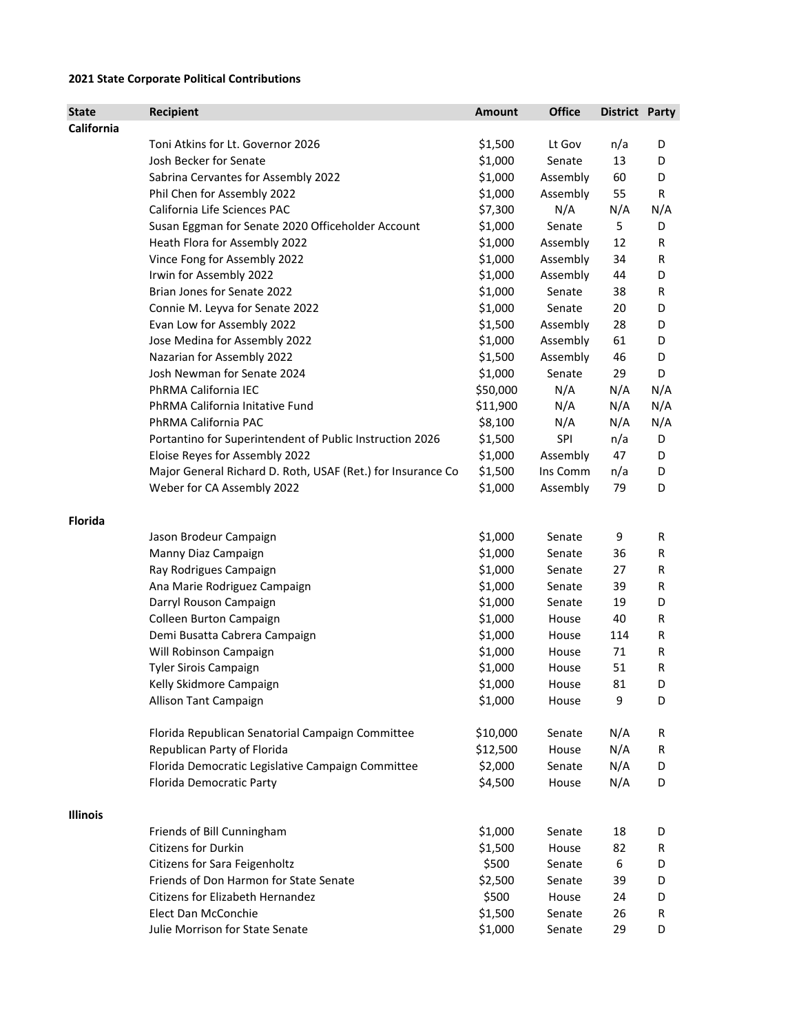## **2021 State Corporate Political Contributions**

| State           | Recipient                                                                       | <b>Amount</b>    | <b>Office</b>   | <b>District Party</b> |        |
|-----------------|---------------------------------------------------------------------------------|------------------|-----------------|-----------------------|--------|
| California      |                                                                                 |                  |                 |                       |        |
|                 | Toni Atkins for Lt. Governor 2026                                               | \$1,500          | Lt Gov          | n/a                   | D      |
|                 | Josh Becker for Senate                                                          | \$1,000          | Senate          | 13                    | D      |
|                 | Sabrina Cervantes for Assembly 2022                                             | \$1,000          | Assembly        | 60                    | D      |
|                 | Phil Chen for Assembly 2022                                                     | \$1,000          | Assembly        | 55                    | R      |
|                 | California Life Sciences PAC                                                    | \$7,300          | N/A             | N/A                   | N/A    |
|                 | Susan Eggman for Senate 2020 Officeholder Account                               | \$1,000          | Senate          | 5                     | D      |
|                 | Heath Flora for Assembly 2022                                                   | \$1,000          | Assembly        | 12                    | R      |
|                 | Vince Fong for Assembly 2022                                                    | \$1,000          | Assembly        | 34                    | R      |
|                 | Irwin for Assembly 2022                                                         | \$1,000          | Assembly        | 44                    | D      |
|                 | Brian Jones for Senate 2022                                                     | \$1,000          | Senate          | 38                    | R      |
|                 | Connie M. Leyva for Senate 2022                                                 | \$1,000          | Senate          | 20                    | D      |
|                 | Evan Low for Assembly 2022                                                      | \$1,500          | Assembly        | 28                    | D      |
|                 | Jose Medina for Assembly 2022                                                   | \$1,000          | Assembly        | 61                    | D      |
|                 | Nazarian for Assembly 2022                                                      | \$1,500          | Assembly        | 46                    | D      |
|                 | Josh Newman for Senate 2024                                                     | \$1,000          | Senate          | 29                    | D      |
|                 | PhRMA California IEC                                                            | \$50,000         | N/A             | N/A                   | N/A    |
|                 | PhRMA California Initative Fund                                                 | \$11,900         | N/A             | N/A                   | N/A    |
|                 | PhRMA California PAC                                                            | \$8,100          | N/A             | N/A                   | N/A    |
|                 | Portantino for Superintendent of Public Instruction 2026                        | \$1,500          | SPI             | n/a                   | D      |
|                 | Eloise Reyes for Assembly 2022                                                  | \$1,000          | Assembly        | 47                    | D      |
|                 | Major General Richard D. Roth, USAF (Ret.) for Insurance Co                     | \$1,500          | Ins Comm        | n/a                   | D      |
|                 | Weber for CA Assembly 2022                                                      | \$1,000          | Assembly        | 79                    | D      |
| <b>Florida</b>  |                                                                                 |                  |                 |                       |        |
|                 | Jason Brodeur Campaign                                                          | \$1,000          | Senate          | 9                     | R      |
|                 | Manny Diaz Campaign                                                             | \$1,000          | Senate          | 36                    | R      |
|                 | Ray Rodrigues Campaign                                                          | \$1,000          | Senate          | 27                    | R      |
|                 | Ana Marie Rodriguez Campaign                                                    | \$1,000          | Senate          | 39                    | R      |
|                 | Darryl Rouson Campaign                                                          | \$1,000          | Senate          | 19                    | D      |
|                 | Colleen Burton Campaign                                                         | \$1,000          | House           | 40                    | R      |
|                 | Demi Busatta Cabrera Campaign                                                   | \$1,000          | House           | 114                   | R      |
|                 | Will Robinson Campaign                                                          | \$1,000          | House           | 71                    | R      |
|                 | <b>Tyler Sirois Campaign</b>                                                    | \$1,000          | House           | 51                    | R      |
|                 | Kelly Skidmore Campaign                                                         | \$1,000          | House           | 81                    | D      |
|                 | Allison Tant Campaign                                                           | \$1,000          | House           | 9                     | D      |
|                 |                                                                                 | \$10,000         |                 | N/A                   |        |
|                 | Florida Republican Senatorial Campaign Committee<br>Republican Party of Florida | \$12,500         | Senate<br>House | N/A                   | R<br>R |
|                 | Florida Democratic Legislative Campaign Committee                               | \$2,000          | Senate          | N/A                   | D      |
|                 | Florida Democratic Party                                                        | \$4,500          | House           | N/A                   | D      |
|                 |                                                                                 |                  |                 |                       |        |
| <b>Illinois</b> | Friends of Bill Cunningham                                                      | \$1,000          | Senate          | 18                    |        |
|                 | <b>Citizens for Durkin</b>                                                      | \$1,500          | House           | 82                    | D<br>R |
|                 | Citizens for Sara Feigenholtz                                                   | \$500            | Senate          | 6                     | D      |
|                 | Friends of Don Harmon for State Senate                                          |                  |                 |                       |        |
|                 | Citizens for Elizabeth Hernandez                                                | \$2,500<br>\$500 | Senate          | 39                    | D      |
|                 |                                                                                 |                  | House           | 24                    | D      |
|                 | Elect Dan McConchie<br>Julie Morrison for State Senate                          | \$1,500          | Senate          | 26                    | R      |
|                 |                                                                                 | \$1,000          | Senate          | 29                    | D      |